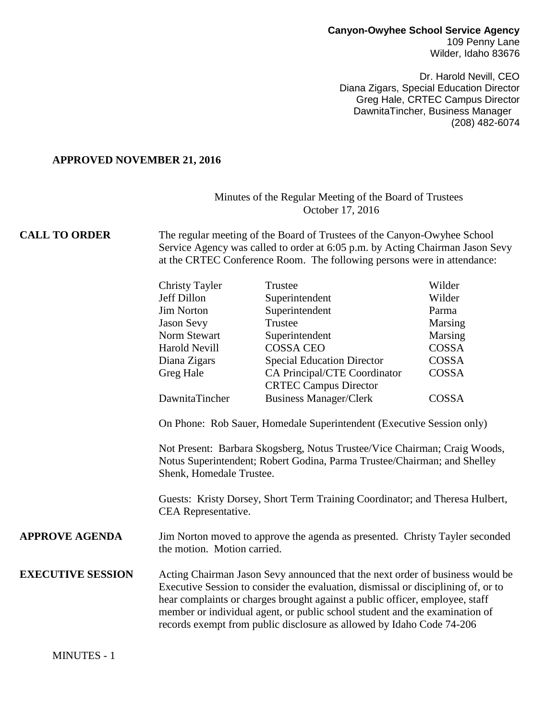#### **Canyon-Owyhee School Service Agency** 109 Penny Lane Wilder, Idaho 83676

Dr. Harold Nevill, CEO Diana Zigars, Special Education Director Greg Hale, CRTEC Campus Director DawnitaTincher, Business Manager (208) 482-6074

#### **APPROVED NOVEMBER 21, 2016**

## Minutes of the Regular Meeting of the Board of Trustees October 17, 2016

**CALL TO ORDER** The regular meeting of the Board of Trustees of the Canyon-Owyhee School Service Agency was called to order at 6:05 p.m. by Acting Chairman Jason Sevy at the CRTEC Conference Room. The following persons were in attendance:

| <b>Christy Tayler</b> | Trustee                           | Wilder  |
|-----------------------|-----------------------------------|---------|
| Jeff Dillon           | Superintendent                    | Wilder  |
| <b>Jim Norton</b>     | Superintendent                    | Parma   |
| <b>Jason Sevy</b>     | Trustee                           | Marsing |
| Norm Stewart          | Superintendent                    | Marsing |
| <b>Harold Nevill</b>  | <b>COSSA CEO</b>                  | COSSA   |
| Diana Zigars          | <b>Special Education Director</b> | COSSA   |
| Greg Hale             | CA Principal/CTE Coordinator      | COSSA   |
|                       | <b>CRTEC Campus Director</b>      |         |
| DawnitaTincher        | <b>Business Manager/Clerk</b>     | COSSA   |

On Phone: Rob Sauer, Homedale Superintendent (Executive Session only)

Not Present: Barbara Skogsberg, Notus Trustee/Vice Chairman; Craig Woods, Notus Superintendent; Robert Godina, Parma Trustee/Chairman; and Shelley Shenk, Homedale Trustee.

Guests: Kristy Dorsey, Short Term Training Coordinator; and Theresa Hulbert, CEA Representative.

### **APPROVE AGENDA** Jim Norton moved to approve the agenda as presented. Christy Tayler seconded the motion. Motion carried.

**EXECUTIVE SESSION** Acting Chairman Jason Sevy announced that the next order of business would be Executive Session to consider the evaluation, dismissal or disciplining of, or to hear complaints or charges brought against a public officer, employee, staff member or individual agent, or public school student and the examination of records exempt from public disclosure as allowed by Idaho Code 74-206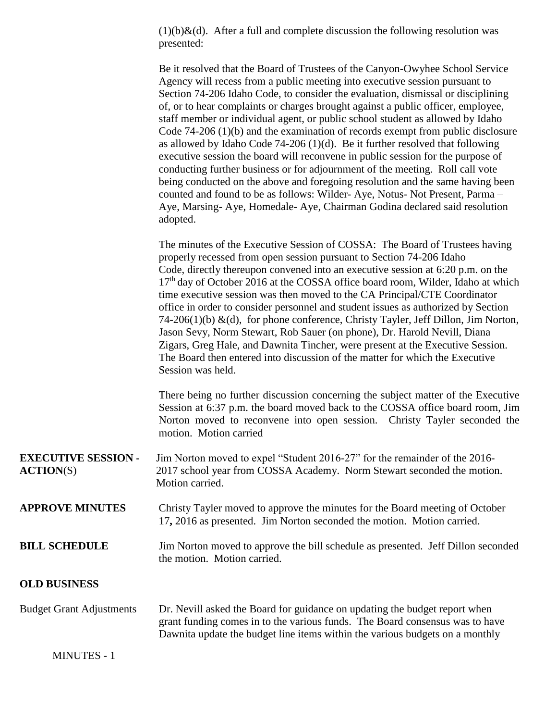$(1)(b)$ &(d). After a full and complete discussion the following resolution was presented:

Be it resolved that the Board of Trustees of the Canyon-Owyhee School Service Agency will recess from a public meeting into executive session pursuant to Section 74-206 Idaho Code, to consider the evaluation, dismissal or disciplining of, or to hear complaints or charges brought against a public officer, employee, staff member or individual agent, or public school student as allowed by Idaho Code 74-206 (1)(b) and the examination of records exempt from public disclosure as allowed by Idaho Code 74-206 (1)(d). Be it further resolved that following executive session the board will reconvene in public session for the purpose of conducting further business or for adjournment of the meeting. Roll call vote being conducted on the above and foregoing resolution and the same having been counted and found to be as follows: Wilder- Aye, Notus- Not Present, Parma – Aye, Marsing- Aye, Homedale- Aye, Chairman Godina declared said resolution adopted.

The minutes of the Executive Session of COSSA: The Board of Trustees having properly recessed from open session pursuant to Section 74-206 Idaho Code, directly thereupon convened into an executive session at 6:20 p.m. on the 17<sup>th</sup> day of October 2016 at the COSSA office board room, Wilder, Idaho at which time executive session was then moved to the CA Principal/CTE Coordinator office in order to consider personnel and student issues as authorized by Section 74-206(1)(b)  $\&$ (d), for phone conference, Christy Tayler, Jeff Dillon, Jim Norton, Jason Sevy, Norm Stewart, Rob Sauer (on phone), Dr. Harold Nevill, Diana Zigars, Greg Hale, and Dawnita Tincher, were present at the Executive Session. The Board then entered into discussion of the matter for which the Executive Session was held.

There being no further discussion concerning the subject matter of the Executive Session at 6:37 p.m. the board moved back to the COSSA office board room, Jim Norton moved to reconvene into open session. Christy Tayler seconded the motion. Motion carried

| <b>EXECUTIVE SESSION -</b> | Jim Norton moved to expel "Student 2016-27" for the remainder of the 2016- |
|----------------------------|----------------------------------------------------------------------------|
| <b>ACTION(S)</b>           | 2017 school year from COSSA Academy. Norm Stewart seconded the motion.     |
|                            | Motion carried.                                                            |

**APPROVE MINUTES** Christy Tayler moved to approve the minutes for the Board meeting of October 17**,** 2016 as presented. Jim Norton seconded the motion. Motion carried.

### **BILL SCHEDULE** Jim Norton moved to approve the bill schedule as presented. Jeff Dillon seconded the motion. Motion carried.

### **OLD BUSINESS**

# Budget Grant Adjustments Dr. Nevill asked the Board for guidance on updating the budget report when grant funding comes in to the various funds. The Board consensus was to have Dawnita update the budget line items within the various budgets on a monthly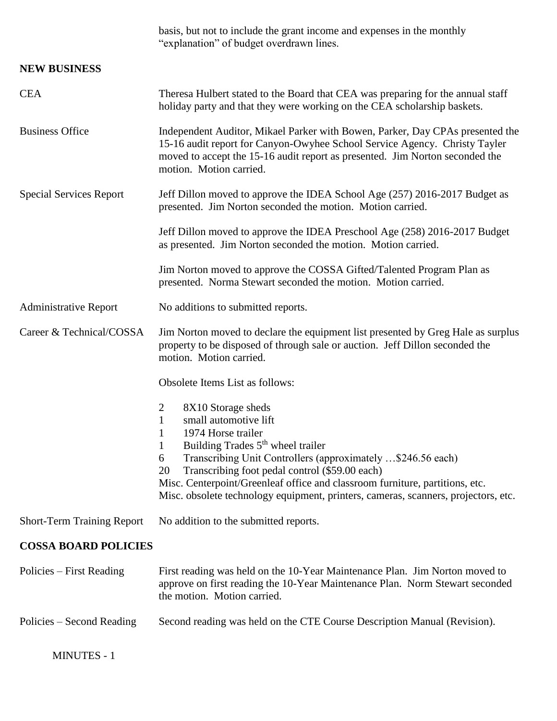|                                   | basis, but not to include the grant income and expenses in the monthly<br>"explanation" of budget overdrawn lines.                                                                                                                                                                                                                                                                                                                                  |
|-----------------------------------|-----------------------------------------------------------------------------------------------------------------------------------------------------------------------------------------------------------------------------------------------------------------------------------------------------------------------------------------------------------------------------------------------------------------------------------------------------|
| <b>NEW BUSINESS</b>               |                                                                                                                                                                                                                                                                                                                                                                                                                                                     |
| <b>CEA</b>                        | Theresa Hulbert stated to the Board that CEA was preparing for the annual staff<br>holiday party and that they were working on the CEA scholarship baskets.                                                                                                                                                                                                                                                                                         |
| <b>Business Office</b>            | Independent Auditor, Mikael Parker with Bowen, Parker, Day CPAs presented the<br>15-16 audit report for Canyon-Owyhee School Service Agency. Christy Tayler<br>moved to accept the 15-16 audit report as presented. Jim Norton seconded the<br>motion. Motion carried.                                                                                                                                                                              |
| <b>Special Services Report</b>    | Jeff Dillon moved to approve the IDEA School Age (257) 2016-2017 Budget as<br>presented. Jim Norton seconded the motion. Motion carried.                                                                                                                                                                                                                                                                                                            |
|                                   | Jeff Dillon moved to approve the IDEA Preschool Age (258) 2016-2017 Budget<br>as presented. Jim Norton seconded the motion. Motion carried.                                                                                                                                                                                                                                                                                                         |
|                                   | Jim Norton moved to approve the COSSA Gifted/Talented Program Plan as<br>presented. Norma Stewart seconded the motion. Motion carried.                                                                                                                                                                                                                                                                                                              |
| <b>Administrative Report</b>      | No additions to submitted reports.                                                                                                                                                                                                                                                                                                                                                                                                                  |
| Career & Technical/COSSA          | Jim Norton moved to declare the equipment list presented by Greg Hale as surplus<br>property to be disposed of through sale or auction. Jeff Dillon seconded the<br>motion. Motion carried.                                                                                                                                                                                                                                                         |
|                                   | Obsolete Items List as follows:                                                                                                                                                                                                                                                                                                                                                                                                                     |
|                                   | 2<br>8X10 Storage sheds<br>small automotive lift<br>$\mathbf{1}$<br>1974 Horse trailer<br>1<br>Building Trades 5 <sup>th</sup> wheel trailer<br>1<br>Transcribing Unit Controllers (approximately \$246.56 each)<br>6<br>Transcribing foot pedal control (\$59.00 each)<br>20<br>Misc. Centerpoint/Greenleaf office and classroom furniture, partitions, etc.<br>Misc. obsolete technology equipment, printers, cameras, scanners, projectors, etc. |
| <b>Short-Term Training Report</b> | No addition to the submitted reports.                                                                                                                                                                                                                                                                                                                                                                                                               |
| <b>COSSA BOARD POLICIES</b>       |                                                                                                                                                                                                                                                                                                                                                                                                                                                     |
| Policies – First Reading          | First reading was held on the 10-Year Maintenance Plan. Jim Norton moved to<br>approve on first reading the 10-Year Maintenance Plan. Norm Stewart seconded<br>the motion. Motion carried.                                                                                                                                                                                                                                                          |
| Policies – Second Reading         | Second reading was held on the CTE Course Description Manual (Revision).                                                                                                                                                                                                                                                                                                                                                                            |

MINUTES - 1